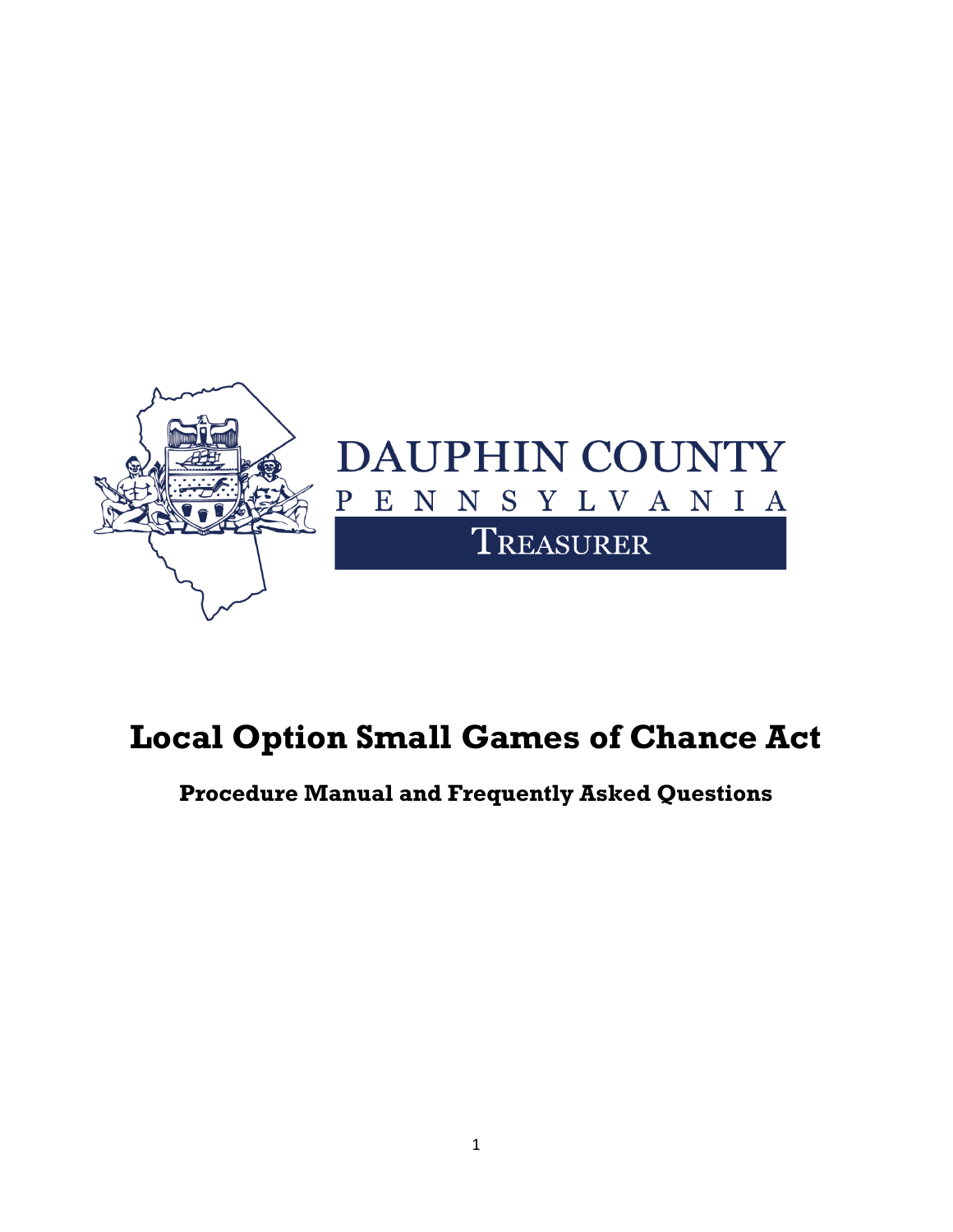

## **Local Option Small Games of Chance Act**

**Procedure Manual and Frequently Asked Questions**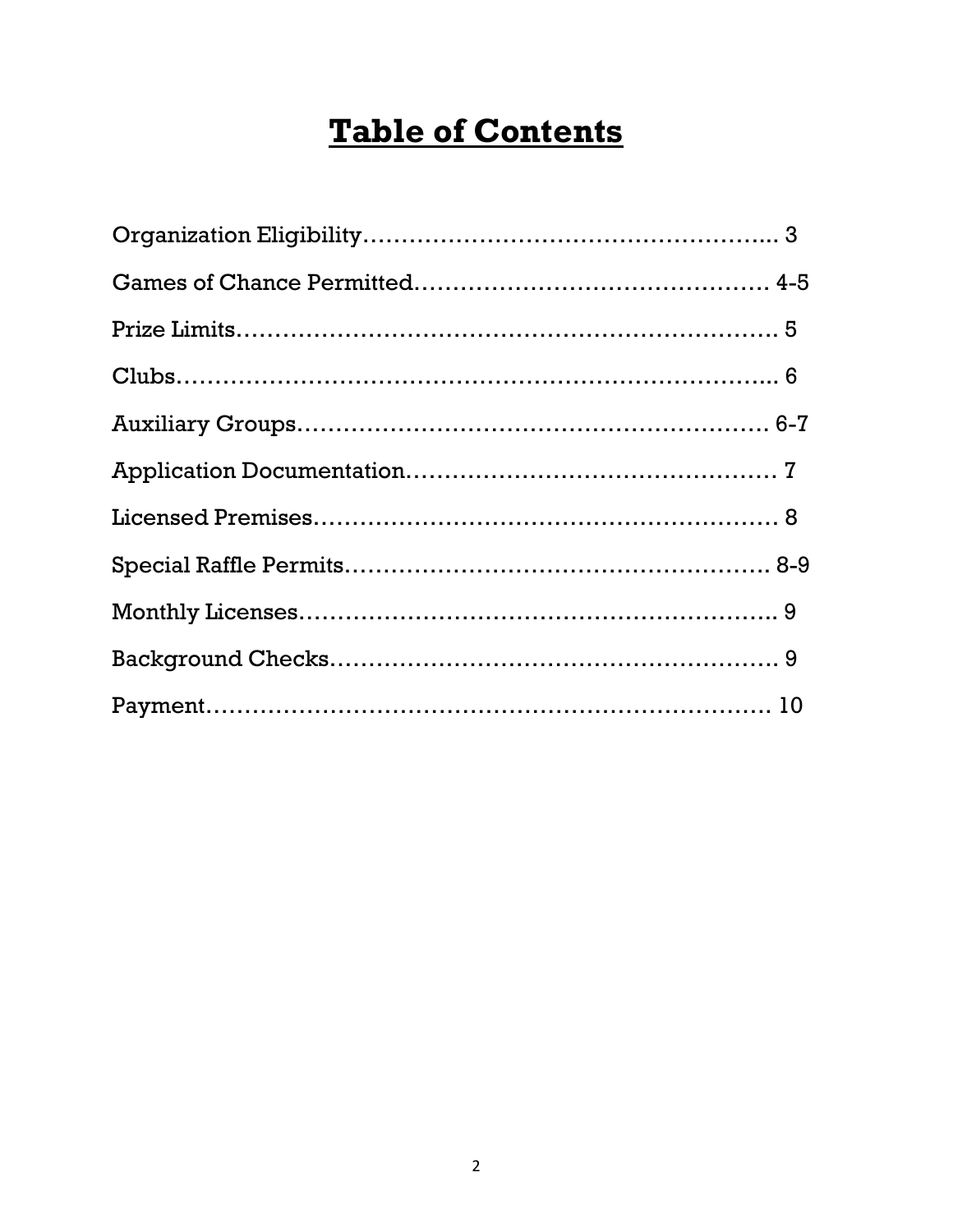## **Table of Contents**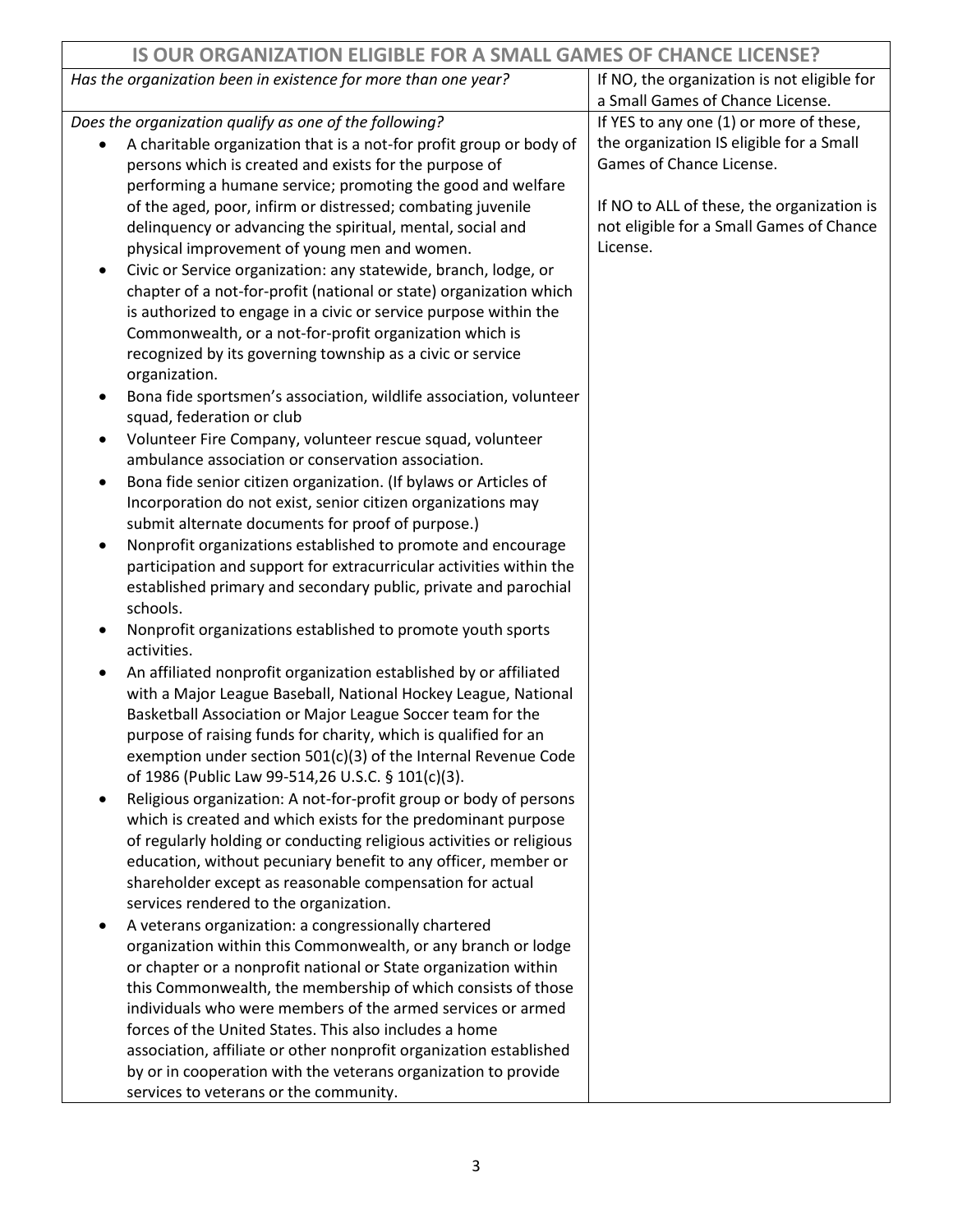| <b>IS OUR ORGANIZATION ELIGIBLE FOR A SMALL GAMES OF CHANCE LICENSE?</b>      |                                             |
|-------------------------------------------------------------------------------|---------------------------------------------|
| Has the organization been in existence for more than one year?                | If NO, the organization is not eligible for |
|                                                                               | a Small Games of Chance License.            |
| Does the organization qualify as one of the following?                        | If YES to any one (1) or more of these,     |
| A charitable organization that is a not-for profit group or body of           | the organization IS eligible for a Small    |
| persons which is created and exists for the purpose of                        | Games of Chance License.                    |
| performing a humane service; promoting the good and welfare                   |                                             |
| of the aged, poor, infirm or distressed; combating juvenile                   | If NO to ALL of these, the organization is  |
| delinquency or advancing the spiritual, mental, social and                    | not eligible for a Small Games of Chance    |
| physical improvement of young men and women.                                  | License.                                    |
| Civic or Service organization: any statewide, branch, lodge, or               |                                             |
| chapter of a not-for-profit (national or state) organization which            |                                             |
| is authorized to engage in a civic or service purpose within the              |                                             |
| Commonwealth, or a not-for-profit organization which is                       |                                             |
| recognized by its governing township as a civic or service                    |                                             |
| organization.                                                                 |                                             |
| Bona fide sportsmen's association, wildlife association, volunteer            |                                             |
| squad, federation or club                                                     |                                             |
| Volunteer Fire Company, volunteer rescue squad, volunteer                     |                                             |
| ambulance association or conservation association.                            |                                             |
| Bona fide senior citizen organization. (If bylaws or Articles of<br>$\bullet$ |                                             |
| Incorporation do not exist, senior citizen organizations may                  |                                             |
| submit alternate documents for proof of purpose.)                             |                                             |
| Nonprofit organizations established to promote and encourage                  |                                             |
| participation and support for extracurricular activities within the           |                                             |
| established primary and secondary public, private and parochial               |                                             |
| schools.                                                                      |                                             |
| Nonprofit organizations established to promote youth sports                   |                                             |
| activities.                                                                   |                                             |
| An affiliated nonprofit organization established by or affiliated             |                                             |
| with a Major League Baseball, National Hockey League, National                |                                             |
| Basketball Association or Major League Soccer team for the                    |                                             |
| purpose of raising funds for charity, which is qualified for an               |                                             |
| exemption under section 501(c)(3) of the Internal Revenue Code                |                                             |
| of 1986 (Public Law 99-514,26 U.S.C. § 101(c)(3).                             |                                             |
| Religious organization: A not-for-profit group or body of persons             |                                             |
| which is created and which exists for the predominant purpose                 |                                             |
| of regularly holding or conducting religious activities or religious          |                                             |
| education, without pecuniary benefit to any officer, member or                |                                             |
| shareholder except as reasonable compensation for actual                      |                                             |
| services rendered to the organization.                                        |                                             |
| A veterans organization: a congressionally chartered                          |                                             |
| organization within this Commonwealth, or any branch or lodge                 |                                             |
| or chapter or a nonprofit national or State organization within               |                                             |
| this Commonwealth, the membership of which consists of those                  |                                             |
| individuals who were members of the armed services or armed                   |                                             |
| forces of the United States. This also includes a home                        |                                             |
| association, affiliate or other nonprofit organization established            |                                             |
| by or in cooperation with the veterans organization to provide                |                                             |
| services to veterans or the community.                                        |                                             |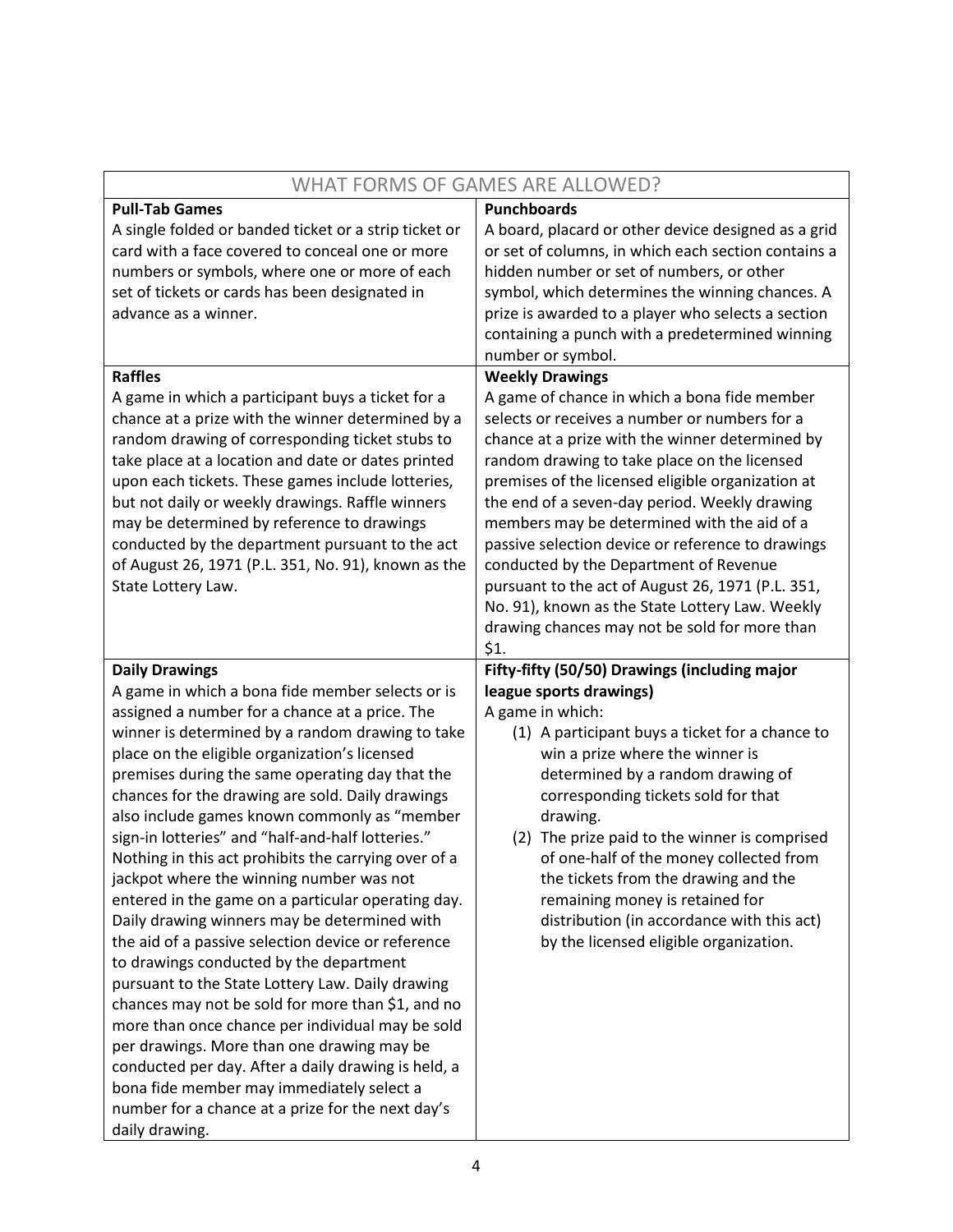| WHAT FORMS OF GAMES ARE ALLOWED?                                    |                                                     |
|---------------------------------------------------------------------|-----------------------------------------------------|
| <b>Pull-Tab Games</b>                                               | <b>Punchboards</b>                                  |
| A single folded or banded ticket or a strip ticket or               | A board, placard or other device designed as a grid |
| card with a face covered to conceal one or more                     | or set of columns, in which each section contains a |
| numbers or symbols, where one or more of each                       | hidden number or set of numbers, or other           |
| set of tickets or cards has been designated in                      | symbol, which determines the winning chances. A     |
| advance as a winner.                                                | prize is awarded to a player who selects a section  |
|                                                                     | containing a punch with a predetermined winning     |
|                                                                     | number or symbol.                                   |
| <b>Raffles</b>                                                      | <b>Weekly Drawings</b>                              |
| A game in which a participant buys a ticket for a                   | A game of chance in which a bona fide member        |
| chance at a prize with the winner determined by a                   | selects or receives a number or numbers for a       |
| random drawing of corresponding ticket stubs to                     | chance at a prize with the winner determined by     |
| take place at a location and date or dates printed                  | random drawing to take place on the licensed        |
| upon each tickets. These games include lotteries,                   | premises of the licensed eligible organization at   |
| but not daily or weekly drawings. Raffle winners                    | the end of a seven-day period. Weekly drawing       |
| may be determined by reference to drawings                          | members may be determined with the aid of a         |
| conducted by the department pursuant to the act                     | passive selection device or reference to drawings   |
| of August 26, 1971 (P.L. 351, No. 91), known as the                 | conducted by the Department of Revenue              |
| State Lottery Law.                                                  | pursuant to the act of August 26, 1971 (P.L. 351,   |
|                                                                     | No. 91), known as the State Lottery Law. Weekly     |
|                                                                     | drawing chances may not be sold for more than       |
|                                                                     | \$1.                                                |
|                                                                     |                                                     |
| <b>Daily Drawings</b>                                               | Fifty-fifty (50/50) Drawings (including major       |
| A game in which a bona fide member selects or is                    | league sports drawings)                             |
| assigned a number for a chance at a price. The                      | A game in which:                                    |
| winner is determined by a random drawing to take                    | (1) A participant buys a ticket for a chance to     |
| place on the eligible organization's licensed                       | win a prize where the winner is                     |
| premises during the same operating day that the                     | determined by a random drawing of                   |
| chances for the drawing are sold. Daily drawings                    | corresponding tickets sold for that                 |
| also include games known commonly as "member                        | drawing.                                            |
| sign-in lotteries" and "half-and-half lotteries."                   | (2) The prize paid to the winner is comprised       |
| Nothing in this act prohibits the carrying over of a                | of one-half of the money collected from             |
| jackpot where the winning number was not                            | the tickets from the drawing and the                |
| entered in the game on a particular operating day.                  | remaining money is retained for                     |
| Daily drawing winners may be determined with                        | distribution (in accordance with this act)          |
| the aid of a passive selection device or reference                  | by the licensed eligible organization.              |
| to drawings conducted by the department                             |                                                     |
| pursuant to the State Lottery Law. Daily drawing                    |                                                     |
| chances may not be sold for more than \$1, and no                   |                                                     |
| more than once chance per individual may be sold                    |                                                     |
| per drawings. More than one drawing may be                          |                                                     |
| conducted per day. After a daily drawing is held, a                 |                                                     |
| bona fide member may immediately select a                           |                                                     |
| number for a chance at a prize for the next day's<br>daily drawing. |                                                     |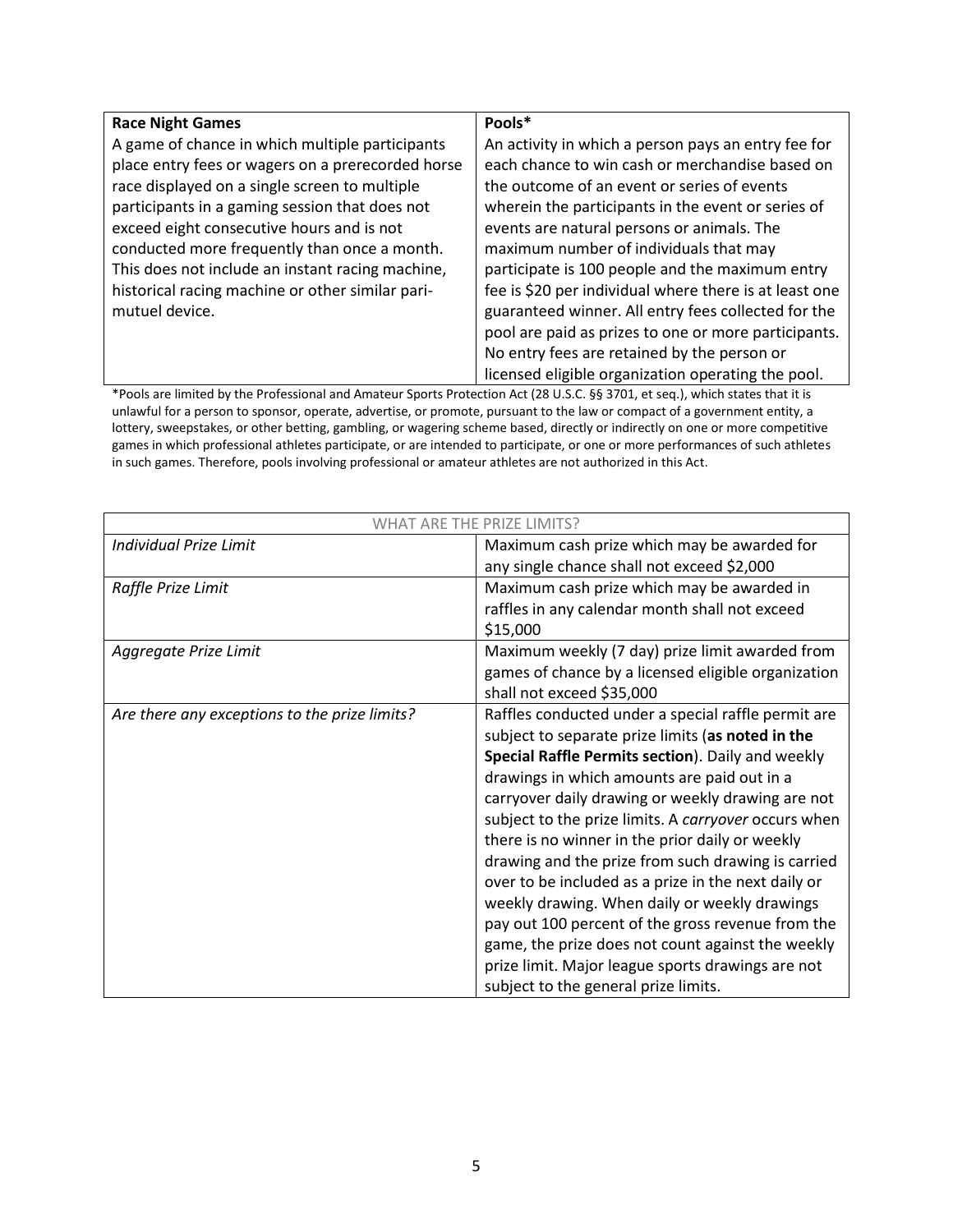| <b>Race Night Games</b>                           | Pools*                                                 |
|---------------------------------------------------|--------------------------------------------------------|
| A game of chance in which multiple participants   | An activity in which a person pays an entry fee for    |
| place entry fees or wagers on a prerecorded horse | each chance to win cash or merchandise based on        |
| race displayed on a single screen to multiple     | the outcome of an event or series of events            |
| participants in a gaming session that does not    | wherein the participants in the event or series of     |
| exceed eight consecutive hours and is not         | events are natural persons or animals. The             |
| conducted more frequently than once a month.      | maximum number of individuals that may                 |
| This does not include an instant racing machine,  | participate is 100 people and the maximum entry        |
| historical racing machine or other similar pari-  | fee is \$20 per individual where there is at least one |
| mutuel device.                                    | guaranteed winner. All entry fees collected for the    |
|                                                   | pool are paid as prizes to one or more participants.   |
|                                                   | No entry fees are retained by the person or            |
|                                                   | licensed eligible organization operating the pool.     |

\*Pools are limited by the Professional and Amateur Sports Protection Act (28 U.S.C. §§ 3701, et seq.), which states that it is unlawful for a person to sponsor, operate, advertise, or promote, pursuant to the law or compact of a government entity, a lottery, sweepstakes, or other betting, gambling, or wagering scheme based, directly or indirectly on one or more competitive games in which professional athletes participate, or are intended to participate, or one or more performances of such athletes in such games. Therefore, pools involving professional or amateur athletes are not authorized in this Act.

| <b>WHAT ARE THE PRIZE LIMITS?</b>             |                                                      |
|-----------------------------------------------|------------------------------------------------------|
| <b>Individual Prize Limit</b>                 | Maximum cash prize which may be awarded for          |
|                                               | any single chance shall not exceed \$2,000           |
| Raffle Prize Limit                            | Maximum cash prize which may be awarded in           |
|                                               | raffles in any calendar month shall not exceed       |
|                                               | \$15,000                                             |
| Aggregate Prize Limit                         | Maximum weekly (7 day) prize limit awarded from      |
|                                               | games of chance by a licensed eligible organization  |
|                                               | shall not exceed \$35,000                            |
| Are there any exceptions to the prize limits? | Raffles conducted under a special raffle permit are  |
|                                               | subject to separate prize limits (as noted in the    |
|                                               | Special Raffle Permits section). Daily and weekly    |
|                                               | drawings in which amounts are paid out in a          |
|                                               | carryover daily drawing or weekly drawing are not    |
|                                               | subject to the prize limits. A carryover occurs when |
|                                               | there is no winner in the prior daily or weekly      |
|                                               | drawing and the prize from such drawing is carried   |
|                                               | over to be included as a prize in the next daily or  |
|                                               | weekly drawing. When daily or weekly drawings        |
|                                               | pay out 100 percent of the gross revenue from the    |
|                                               | game, the prize does not count against the weekly    |
|                                               | prize limit. Major league sports drawings are not    |
|                                               | subject to the general prize limits.                 |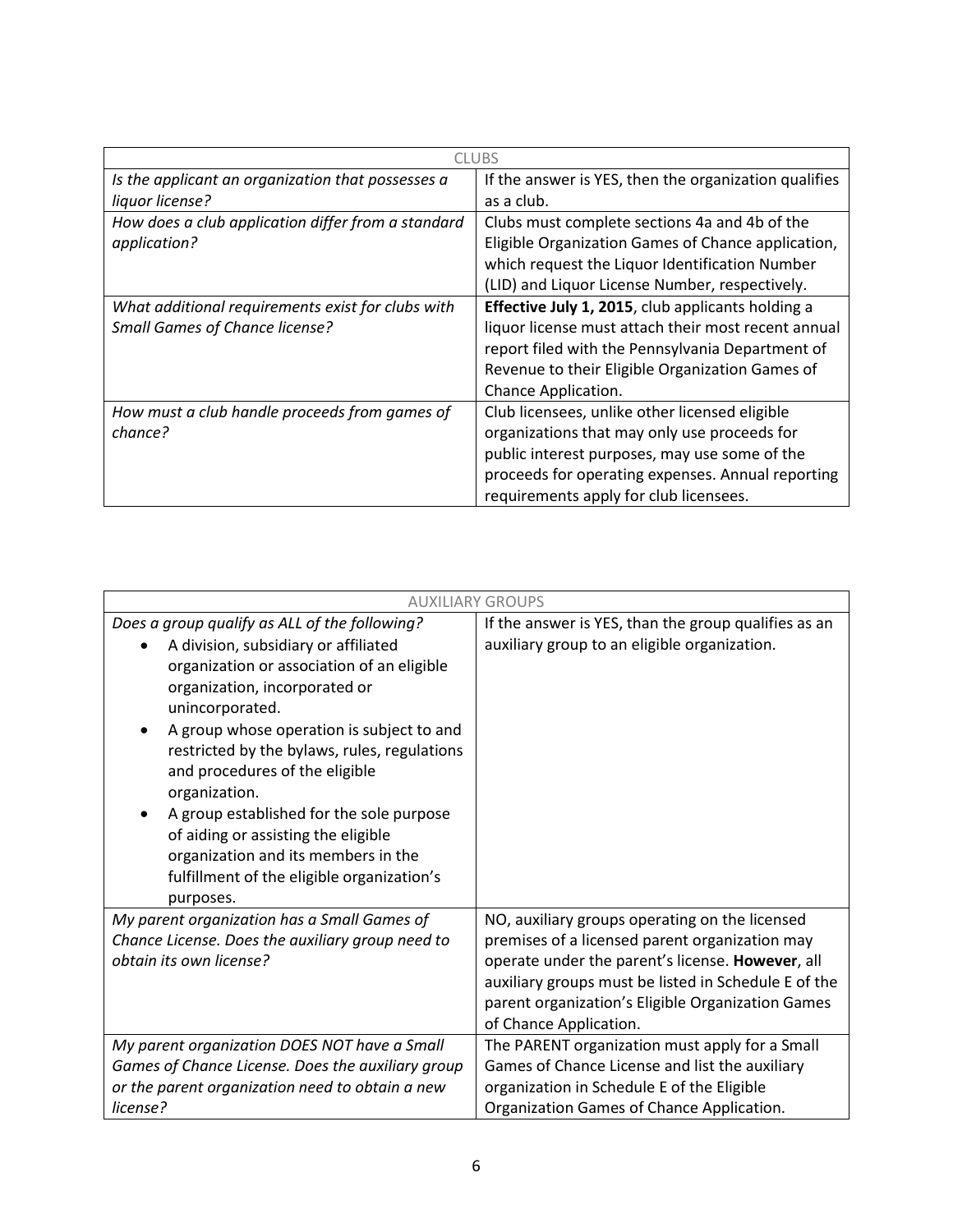| <b>CLUBS</b>                                       |                                                       |
|----------------------------------------------------|-------------------------------------------------------|
| Is the applicant an organization that possesses a  | If the answer is YES, then the organization qualifies |
| liquor license?                                    | as a club.                                            |
| How does a club application differ from a standard | Clubs must complete sections 4a and 4b of the         |
| application?                                       | Eligible Organization Games of Chance application,    |
|                                                    | which request the Liquor Identification Number        |
|                                                    | (LID) and Liquor License Number, respectively.        |
| What additional requirements exist for clubs with  | Effective July 1, 2015, club applicants holding a     |
| <b>Small Games of Chance license?</b>              | liquor license must attach their most recent annual   |
|                                                    | report filed with the Pennsylvania Department of      |
|                                                    | Revenue to their Eligible Organization Games of       |
|                                                    | Chance Application.                                   |
| How must a club handle proceeds from games of      | Club licensees, unlike other licensed eligible        |
| chance?                                            | organizations that may only use proceeds for          |
|                                                    | public interest purposes, may use some of the         |
|                                                    | proceeds for operating expenses. Annual reporting     |
|                                                    | requirements apply for club licensees.                |

| <b>AUXILIARY GROUPS</b>                                                                                                                                                                                                                                                                                                                                                   |                                                      |
|---------------------------------------------------------------------------------------------------------------------------------------------------------------------------------------------------------------------------------------------------------------------------------------------------------------------------------------------------------------------------|------------------------------------------------------|
| Does a group qualify as ALL of the following?                                                                                                                                                                                                                                                                                                                             | If the answer is YES, than the group qualifies as an |
| A division, subsidiary or affiliated<br>organization or association of an eligible<br>organization, incorporated or<br>unincorporated.<br>A group whose operation is subject to and<br>restricted by the bylaws, rules, regulations<br>and procedures of the eligible<br>organization.<br>A group established for the sole purpose<br>of aiding or assisting the eligible | auxiliary group to an eligible organization.         |
| organization and its members in the<br>fulfillment of the eligible organization's<br>purposes.                                                                                                                                                                                                                                                                            |                                                      |
| My parent organization has a Small Games of                                                                                                                                                                                                                                                                                                                               | NO, auxiliary groups operating on the licensed       |
| Chance License. Does the auxiliary group need to                                                                                                                                                                                                                                                                                                                          | premises of a licensed parent organization may       |
| obtain its own license?                                                                                                                                                                                                                                                                                                                                                   | operate under the parent's license. However, all     |
|                                                                                                                                                                                                                                                                                                                                                                           | auxiliary groups must be listed in Schedule E of the |
|                                                                                                                                                                                                                                                                                                                                                                           | parent organization's Eligible Organization Games    |
|                                                                                                                                                                                                                                                                                                                                                                           | of Chance Application.                               |
| My parent organization DOES NOT have a Small                                                                                                                                                                                                                                                                                                                              | The PARENT organization must apply for a Small       |
| Games of Chance License. Does the auxiliary group                                                                                                                                                                                                                                                                                                                         | Games of Chance License and list the auxiliary       |
| or the parent organization need to obtain a new                                                                                                                                                                                                                                                                                                                           | organization in Schedule E of the Eligible           |
| license?                                                                                                                                                                                                                                                                                                                                                                  | Organization Games of Chance Application.            |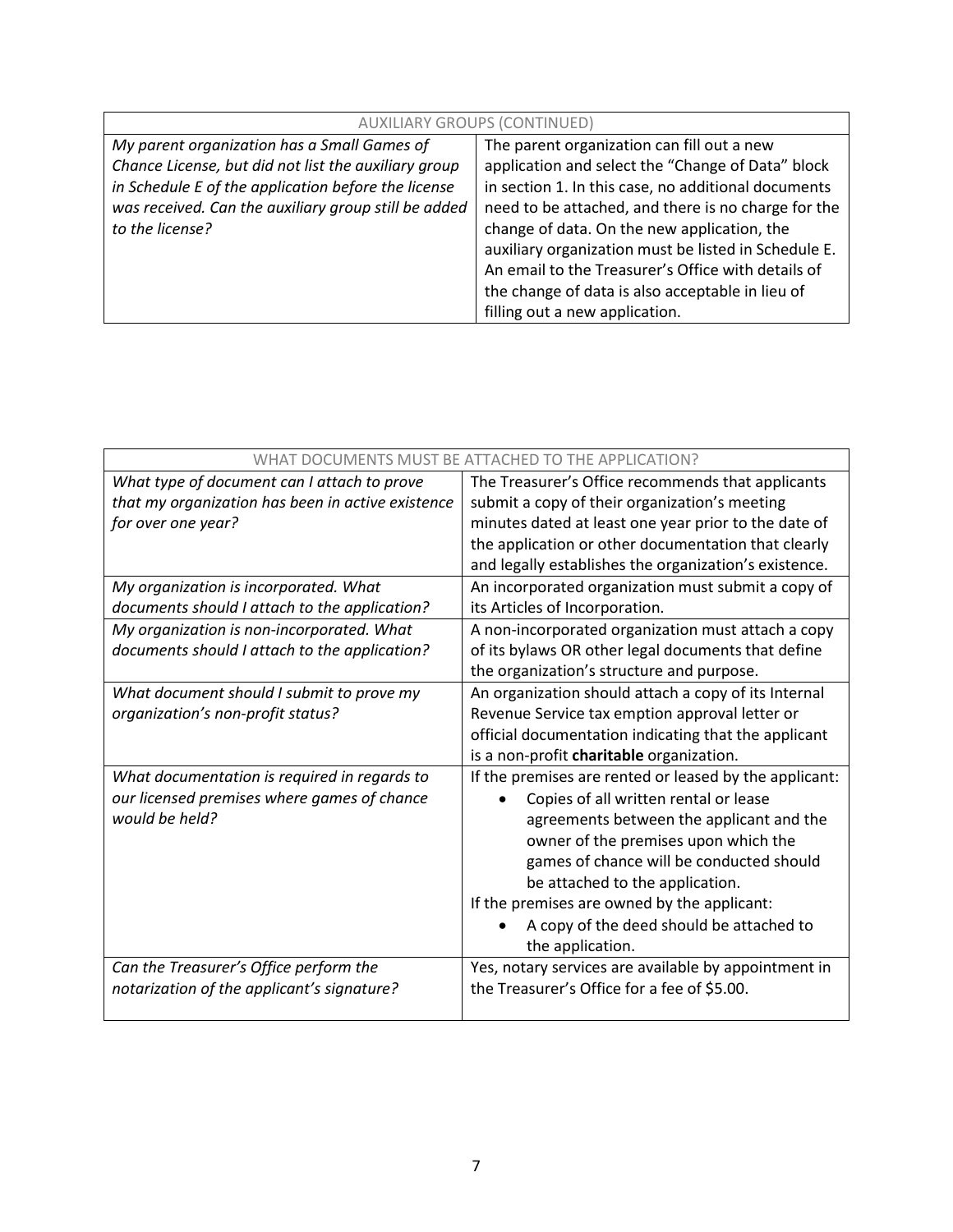| <b>AUXILIARY GROUPS (CONTINUED)</b>                  |                                                      |
|------------------------------------------------------|------------------------------------------------------|
| My parent organization has a Small Games of          | The parent organization can fill out a new           |
| Chance License, but did not list the auxiliary group | application and select the "Change of Data" block    |
| in Schedule E of the application before the license  | in section 1. In this case, no additional documents  |
| was received. Can the auxiliary group still be added | need to be attached, and there is no charge for the  |
| to the license?                                      | change of data. On the new application, the          |
|                                                      | auxiliary organization must be listed in Schedule E. |
|                                                      | An email to the Treasurer's Office with details of   |
|                                                      | the change of data is also acceptable in lieu of     |
|                                                      | filling out a new application.                       |

| WHAT DOCUMENTS MUST BE ATTACHED TO THE APPLICATION? |                                                        |
|-----------------------------------------------------|--------------------------------------------------------|
| What type of document can I attach to prove         | The Treasurer's Office recommends that applicants      |
| that my organization has been in active existence   | submit a copy of their organization's meeting          |
| for over one year?                                  | minutes dated at least one year prior to the date of   |
|                                                     | the application or other documentation that clearly    |
|                                                     | and legally establishes the organization's existence.  |
| My organization is incorporated. What               | An incorporated organization must submit a copy of     |
| documents should I attach to the application?       | its Articles of Incorporation.                         |
| My organization is non-incorporated. What           | A non-incorporated organization must attach a copy     |
| documents should I attach to the application?       | of its bylaws OR other legal documents that define     |
|                                                     | the organization's structure and purpose.              |
| What document should I submit to prove my           | An organization should attach a copy of its Internal   |
| organization's non-profit status?                   | Revenue Service tax emption approval letter or         |
|                                                     | official documentation indicating that the applicant   |
|                                                     | is a non-profit charitable organization.               |
| What documentation is required in regards to        | If the premises are rented or leased by the applicant: |
| our licensed premises where games of chance         | Copies of all written rental or lease                  |
| would be held?                                      | agreements between the applicant and the               |
|                                                     | owner of the premises upon which the                   |
|                                                     | games of chance will be conducted should               |
|                                                     | be attached to the application.                        |
|                                                     | If the premises are owned by the applicant:            |
|                                                     | A copy of the deed should be attached to               |
|                                                     | the application.                                       |
| Can the Treasurer's Office perform the              | Yes, notary services are available by appointment in   |
| notarization of the applicant's signature?          | the Treasurer's Office for a fee of \$5.00.            |
|                                                     |                                                        |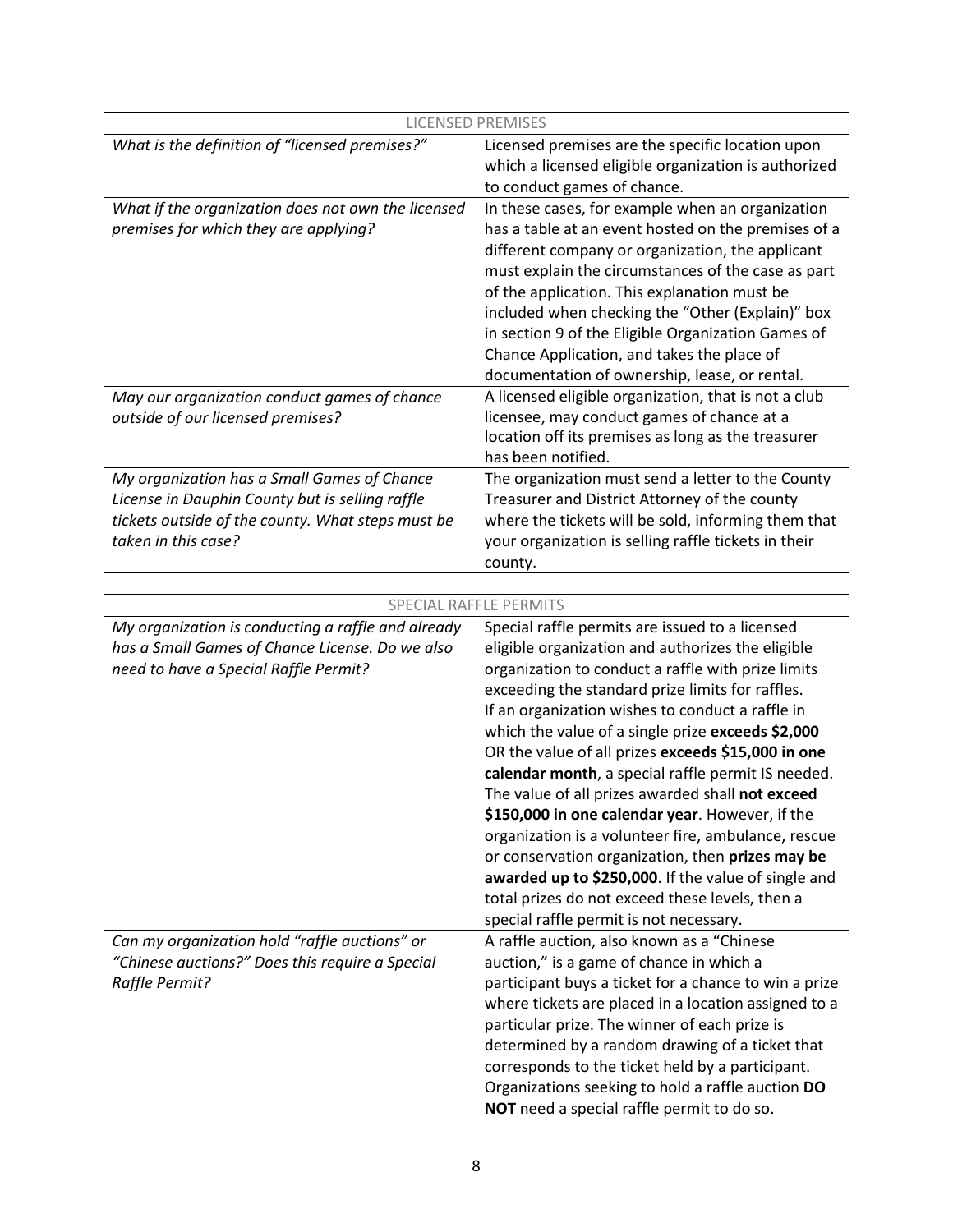| <b>LICENSED PREMISES</b>                           |                                                      |
|----------------------------------------------------|------------------------------------------------------|
| What is the definition of "licensed premises?"     | Licensed premises are the specific location upon     |
|                                                    | which a licensed eligible organization is authorized |
|                                                    | to conduct games of chance.                          |
| What if the organization does not own the licensed | In these cases, for example when an organization     |
| premises for which they are applying?              | has a table at an event hosted on the premises of a  |
|                                                    | different company or organization, the applicant     |
|                                                    | must explain the circumstances of the case as part   |
|                                                    | of the application. This explanation must be         |
|                                                    | included when checking the "Other (Explain)" box     |
|                                                    | in section 9 of the Eligible Organization Games of   |
|                                                    | Chance Application, and takes the place of           |
|                                                    | documentation of ownership, lease, or rental.        |
| May our organization conduct games of chance       | A licensed eligible organization, that is not a club |
| outside of our licensed premises?                  | licensee, may conduct games of chance at a           |
|                                                    | location off its premises as long as the treasurer   |
|                                                    | has been notified.                                   |
| My organization has a Small Games of Chance        | The organization must send a letter to the County    |
| License in Dauphin County but is selling raffle    | Treasurer and District Attorney of the county        |
| tickets outside of the county. What steps must be  | where the tickets will be sold, informing them that  |
| taken in this case?                                | your organization is selling raffle tickets in their |
|                                                    | county.                                              |

| <b>SPECIAL RAFFLE PERMITS</b>                      |                                                       |
|----------------------------------------------------|-------------------------------------------------------|
| My organization is conducting a raffle and already | Special raffle permits are issued to a licensed       |
| has a Small Games of Chance License. Do we also    | eligible organization and authorizes the eligible     |
| need to have a Special Raffle Permit?              | organization to conduct a raffle with prize limits    |
|                                                    | exceeding the standard prize limits for raffles.      |
|                                                    | If an organization wishes to conduct a raffle in      |
|                                                    | which the value of a single prize exceeds \$2,000     |
|                                                    | OR the value of all prizes exceeds \$15,000 in one    |
|                                                    | calendar month, a special raffle permit IS needed.    |
|                                                    | The value of all prizes awarded shall not exceed      |
|                                                    | \$150,000 in one calendar year. However, if the       |
|                                                    | organization is a volunteer fire, ambulance, rescue   |
|                                                    | or conservation organization, then prizes may be      |
|                                                    | awarded up to \$250,000. If the value of single and   |
|                                                    | total prizes do not exceed these levels, then a       |
|                                                    | special raffle permit is not necessary.               |
| Can my organization hold "raffle auctions" or      | A raffle auction, also known as a "Chinese            |
| "Chinese auctions?" Does this require a Special    | auction," is a game of chance in which a              |
| Raffle Permit?                                     | participant buys a ticket for a chance to win a prize |
|                                                    | where tickets are placed in a location assigned to a  |
|                                                    | particular prize. The winner of each prize is         |
|                                                    | determined by a random drawing of a ticket that       |
|                                                    | corresponds to the ticket held by a participant.      |
|                                                    | Organizations seeking to hold a raffle auction DO     |
|                                                    | NOT need a special raffle permit to do so.            |